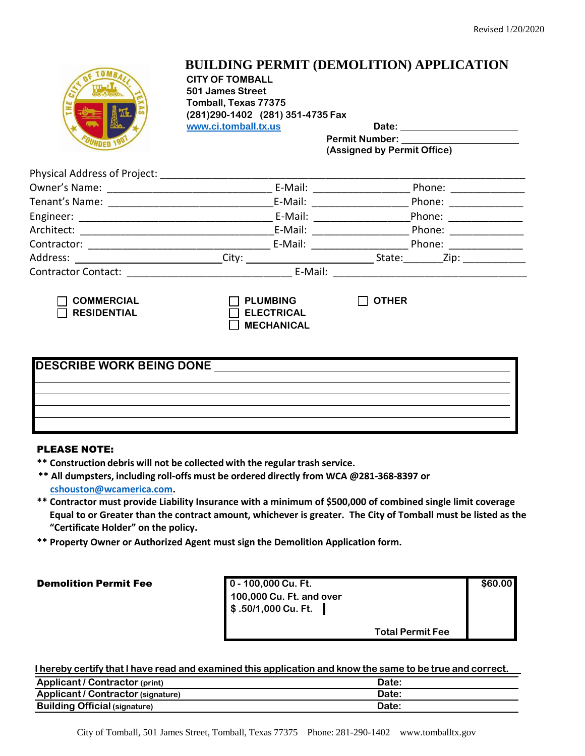

## **BUILDING PERMIT (DEMOLITION) APPLICATION**

**CITY OF TOMBALL 501 James Street Tomball, Texas 77375 (281)290-1402 (281) 351-4735 Fax [www.ci.tomball.tx.us](http://www.ci.tomball.tx.us/) Date:** 

**Permit Number: (Assigned by Permit Office)**

| <b>Physical Address of Project:</b>       |                                                                                                                                                                                                                                                                                                                                                                                                                                 |                                                                                                                                                                                                                                |  |
|-------------------------------------------|---------------------------------------------------------------------------------------------------------------------------------------------------------------------------------------------------------------------------------------------------------------------------------------------------------------------------------------------------------------------------------------------------------------------------------|--------------------------------------------------------------------------------------------------------------------------------------------------------------------------------------------------------------------------------|--|
|                                           | E-Mail: E-Mail:                                                                                                                                                                                                                                                                                                                                                                                                                 | Phone:                                                                                                                                                                                                                         |  |
| Tenant's Name: [19]                       | E-Mail:                                                                                                                                                                                                                                                                                                                                                                                                                         | Phone:                                                                                                                                                                                                                         |  |
|                                           | E-Mail: E-Mail:                                                                                                                                                                                                                                                                                                                                                                                                                 | Phone: __________                                                                                                                                                                                                              |  |
|                                           | E-Mail:                                                                                                                                                                                                                                                                                                                                                                                                                         | Phone:                                                                                                                                                                                                                         |  |
| Contractor: 2008. [19] Donald Contractor: | E-Mail: $\frac{1}{\sqrt{1-\frac{1}{2}}\cdot\sqrt{1-\frac{1}{2}}\cdot\sqrt{1-\frac{1}{2}}\cdot\sqrt{1-\frac{1}{2}}\cdot\sqrt{1-\frac{1}{2}}\cdot\sqrt{1-\frac{1}{2}}\cdot\sqrt{1-\frac{1}{2}}\cdot\sqrt{1-\frac{1}{2}}\cdot\sqrt{1-\frac{1}{2}}\cdot\sqrt{1-\frac{1}{2}}\cdot\sqrt{1-\frac{1}{2}}\cdot\sqrt{1-\frac{1}{2}}\cdot\sqrt{1-\frac{1}{2}}\cdot\sqrt{1-\frac{1}{2}}\cdot\sqrt{1-\frac{1}{2}}\cdot\sqrt{1-\frac{1}{2}}\$ | Phone: the contract of the contract of the contract of the contract of the contract of the contract of the contract of the contract of the contract of the contract of the contract of the contract of the contract of the con |  |
|                                           |                                                                                                                                                                                                                                                                                                                                                                                                                                 | State:<br>Zip:                                                                                                                                                                                                                 |  |
| Contractor Contact: <u>_____________</u>  | E-Mail:                                                                                                                                                                                                                                                                                                                                                                                                                         |                                                                                                                                                                                                                                |  |
| <b>COMMERCIAL</b><br><b>RESIDENTIAL</b>   | <b>PLUMBING</b><br><b>ELECTRICAL</b>                                                                                                                                                                                                                                                                                                                                                                                            | <b>OTHER</b>                                                                                                                                                                                                                   |  |

| <b>DESCRIBE WORK BEING DONE</b> |  |  |  |
|---------------------------------|--|--|--|
|                                 |  |  |  |
|                                 |  |  |  |
|                                 |  |  |  |
|                                 |  |  |  |
|                                 |  |  |  |

**MECHANICAL**

### PLEASE NOTE:

- **\*\* Construction debris will not be collected with the regular trash service.**
- **\*\* All dumpsters, including roll-offs must be ordered directly from WCA @281-368-8397 or [cshouston@wcamerica.com.](mailto:cshouston@wcamerica.com)**
- **\*\* Contractor must provide Liability Insurance with a minimum of \$500,000 of combined single limit coverage Equal to or Greater than the contract amount, whichever is greater. The City of Tomball must be listed as the "Certificate Holder" on the policy.**
- **\*\* Property Owner or Authorized Agent must sign the Demolition Application form.**

Demolition Permit Fee **0 - 100,000 Cu. Ft. \$60.00 100,000 Cu. Ft. and over \$ .50/1,000 Cu. Ft. Total Permit Fee**

I hereby certify that I have read and examined this application and know the same to be true and correct.

| <b>Applicant / Contractor (print)</b> | Date: |
|---------------------------------------|-------|
| Applicant / Contractor (signature)    | Date: |
| <b>Building Official (signature)</b>  | Date: |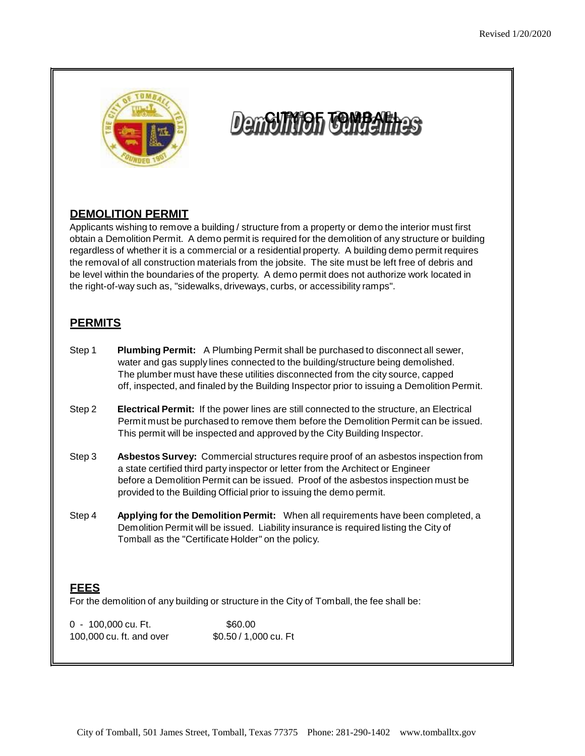

# **DemOIN10h COMPARAGE**

## **DEMOLITION PERMIT**

Applicants wishing to remove a building / structure from a property or demo the interior must first obtain a Demolition Permit. A demo permit is required for the demolition of any structure or building regardless of whether it is a commercial or a residential property. A building demo permit requires the removal of all construction materials from the jobsite. The site must be left free of debris and be level within the boundaries of the property. A demo permit does not authorize work located in the right-of-way such as, "sidewalks, driveways, curbs, or accessibility ramps".

## **PERMITS**

- Step 1 **Plumbing Permit:** A Plumbing Permit shall be purchased to disconnect all sewer, water and gas supply lines connected to the building/structure being demolished. The plumber must have these utilities disconnected from the city source, capped off, inspected, and finaled by the Building Inspector prior to issuing a Demolition Permit.
- Step 2 **Electrical Permit:** If the power lines are still connected to the structure, an Electrical Permit must be purchased to remove them before the Demolition Permit can be issued. This permit will be inspected and approved by the City Building Inspector.
- Step 3 **Asbestos Survey:** Commercial structures require proof of an asbestos inspection from a state certified third party inspector or letter from the Architect or Engineer before a Demolition Permit can be issued. Proof of the asbestos inspection must be provided to the Building Official prior to issuing the demo permit.
- Step 4 **Applying for the Demolition Permit:** When all requirements have been completed, a Demolition Permit will be issued. Liability insurance is required listing the City of Tomball as the "Certificate Holder" on the policy.

### **FEES**

For the demolition of any building or structure in the City of Tomball, the fee shall be:

0 - 100,000 cu. Ft. \$60.00 100,000 cu. ft. and over \$0.50 / 1,000 cu. Ft